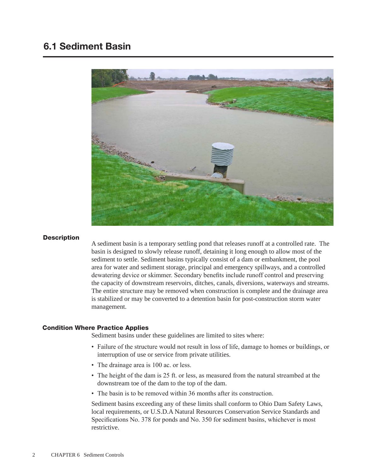# 6.1 Sediment Basin



#### **Description**

A sediment basin is a temporary settling pond that releases runoff at a controlled rate. The basin is designed to slowly release runoff, detaining it long enough to allow most of the sediment to settle. Sediment basins typically consist of a dam or embankment, the pool area for water and sediment storage, principal and emergency spillways, and a controlled dewatering device or skimmer. Secondary benefits include runoff control and preserving the capacity of downstream reservoirs, ditches, canals, diversions, waterways and streams. The entire structure may be removed when construction is complete and the drainage area is stabilized or may be converted to a detention basin for post-construction storm water management.

#### Condition Where Practice Applies

Sediment basins under these guidelines are limited to sites where:

- Failure of the structure would not result in loss of life, damage to homes or buildings, or interruption of use or service from private utilities.
- The drainage area is 100 ac. or less.
- The height of the dam is 25 ft. or less, as measured from the natural streambed at the downstream toe of the dam to the top of the dam.
- The basin is to be removed within 36 months after its construction.

Sediment basins exceeding any of these limits shall conform to Ohio Dam Safety Laws, local requirements, or U.S.D.A Natural Resources Conservation Service Standards and Specifications No. 378 for ponds and No. 350 for sediment basins, whichever is most restrictive.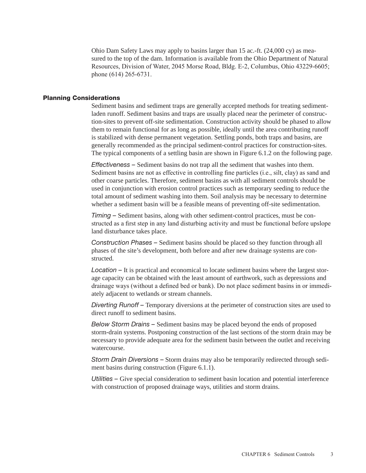Ohio Dam Safety Laws may apply to basins larger than 15 ac.-ft. (24,000 cy) as measured to the top of the dam. Information is available from the Ohio Department of Natural Resources, Division of Water, 2045 Morse Road, Bldg. E-2, Columbus, Ohio 43229-6605; phone (614) 265-6731.

#### Planning Considerations

Sediment basins and sediment traps are generally accepted methods for treating sedimentladen runoff. Sediment basins and traps are usually placed near the perimeter of construction-sites to prevent off-site sedimentation. Construction activity should be phased to allow them to remain functional for as long as possible, ideally until the area contributing runoff is stabilized with dense permanent vegetation. Settling ponds, both traps and basins, are generally recommended as the principal sediment-control practices for construction-sites. The typical components of a settling basin are shown in Figure 6.1.2 on the following page.

*Effectiveness –* Sediment basins do not trap all the sediment that washes into them. Sediment basins are not as effective in controlling fine particles (i.e., silt, clay) as sand and other coarse particles. Therefore, sediment basins as with all sediment controls should be used in conjunction with erosion control practices such as temporary seeding to reduce the total amount of sediment washing into them. Soil analysis may be necessary to determine whether a sediment basin will be a feasible means of preventing off-site sedimentation.

*Timing –* Sediment basins, along with other sediment-control practices, must be constructed as a first step in any land disturbing activity and must be functional before upslope land disturbance takes place.

*Construction Phases –* Sediment basins should be placed so they function through all phases of the site's development, both before and after new drainage systems are constructed.

*Location –* It is practical and economical to locate sediment basins where the largest storage capacity can be obtained with the least amount of earthwork, such as depressions and drainage ways (without a defined bed or bank). Do not place sediment basins in or immediately adjacent to wetlands or stream channels.

*Diverting Runoff –* Temporary diversions at the perimeter of construction sites are used to direct runoff to sediment basins.

*Below Storm Drains –* Sediment basins may be placed beyond the ends of proposed storm-drain systems. Postponing construction of the last sections of the storm drain may be necessary to provide adequate area for the sediment basin between the outlet and receiving watercourse.

*Storm Drain Diversions –* Storm drains may also be temporarily redirected through sediment basins during construction (Figure 6.1.1).

*Utilities –* Give special consideration to sediment basin location and potential interference with construction of proposed drainage ways, utilities and storm drains.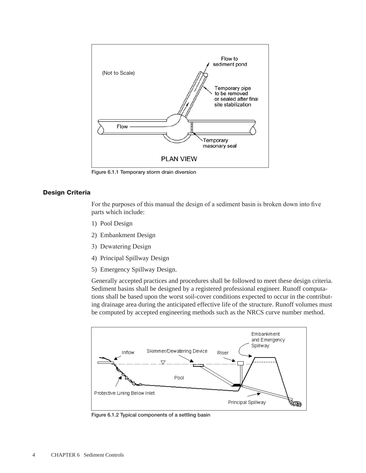

Figure 6.1.1 Temporary storm drain diversion

#### Design Criteria

For the purposes of this manual the design of a sediment basin is broken down into five parts which include:

- 1) Pool Design
- 2) Embankment Design
- 3) Dewatering Design
- 4) Principal Spillway Design
- 5) Emergency Spillway Design.

Generally accepted practices and procedures shall be followed to meet these design criteria. Sediment basins shall be designed by a registered professional engineer. Runoff computations shall be based upon the worst soil-cover conditions expected to occur in the contributing drainage area during the anticipated effective life of the structure. Runoff volumes must be computed by accepted engineering methods such as the NRCS curve number method.



Figure 6.1.2 Typical components of a settling basin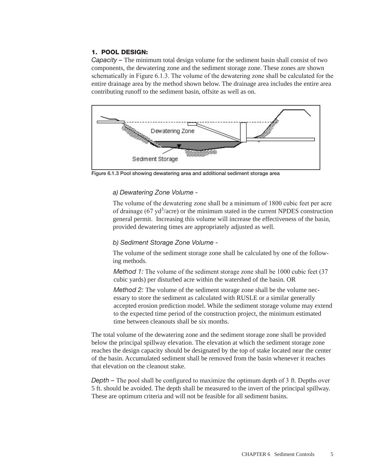## 1. POOL DESIGN:

*Capacity – The minimum total design volume for the sediment basin shall consist of two* components, the dewatering zone and the sediment storage zone. These zones are shown schematically in Figure 6.1.3. The volume of the dewatering zone shall be calculated for the entire drainage area by the method shown below. The drainage area includes the entire area contributing runoff to the sediment basin, offsite as well as on.



Figure 6.1.3 Pool showing dewatering area and additional sediment storage area

## *a) Dewatering Zone Volume -*

The volume of the dewatering zone shall be a minimum of 1800 cubic feet per acre of drainage (67  $\text{yd}^3$ /acre) or the minimum stated in the current NPDES construction general permit. Increasing this volume will increase the effectiveness of the basin, provided dewatering times are appropriately adjusted as well.

#### *b) Sediment Storage Zone Volume -*

The volume of the sediment storage zone shall be calculated by one of the following methods.

*Method 1:* The volume of the sediment storage zone shall be 1000 cubic feet (37) cubic yards) per disturbed acre within the watershed of the basin. OR

*Method 2:* The volume of the sediment storage zone shall be the volume necessary to store the sediment as calculated with RUSLE or a similar generally accepted erosion prediction model. While the sediment storage volume may extend to the expected time period of the construction project, the minimum estimated time between cleanouts shall be six months.

The total volume of the dewatering zone and the sediment storage zone shall be provided below the principal spillway elevation. The elevation at which the sediment storage zone reaches the design capacity should be designated by the top of stake located near the center of the basin. Accumulated sediment shall be removed from the basin whenever it reaches that elevation on the cleanout stake.

*Depth –* The pool shall be configured to maximize the optimum depth of 3 ft. Depths over 5 ft. should be avoided. The depth shall be measured to the invert of the principal spillway. These are optimum criteria and will not be feasible for all sediment basins.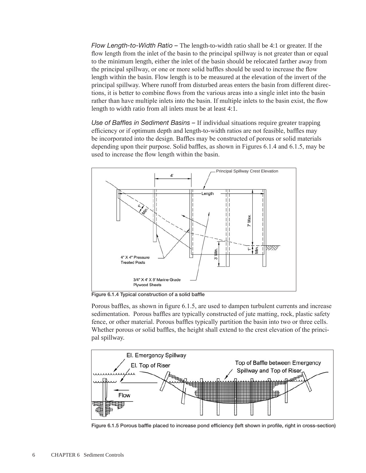*Flow Length-to-Width Ratio –* The length-to-width ratio shall be 4:1 or greater. If the flow length from the inlet of the basin to the principal spillway is not greater than or equal to the minimum length, either the inlet of the basin should be relocated farther away from the principal spillway, or one or more solid baffles should be used to increase the flow length within the basin. Flow length is to be measured at the elevation of the invert of the principal spillway. Where runoff from disturbed areas enters the basin from different directions, it is better to combine flows from the various areas into a single inlet into the basin rather than have multiple inlets into the basin. If multiple inlets to the basin exist, the flow length to width ratio from all inlets must be at least 4:1.

*Use of Baffles in Sediment Basins –* If individual situations require greater trapping efficiency or if optimum depth and length-to-width ratios are not feasible, baffles may be incorporated into the design. Baffles may be constructed of porous or solid materials depending upon their purpose. Solid baffles, as shown in Figures 6.1.4 and 6.1.5, may be used to increase the flow length within the basin.



Figure 6.1.4 Typical construction of a solid baffle

Porous baffles, as shown in figure 6.1.5, are used to dampen turbulent currents and increase sedimentation. Porous baffles are typically constructed of jute matting, rock, plastic safety fence, or other material. Porous baffles typically partition the basin into two or three cells. Whether porous or solid baffles, the height shall extend to the crest elevation of the principal spillway.



Figure 6.1.5 Porous baffle placed to increase pond efficiency (left shown in profile, right in cross-section)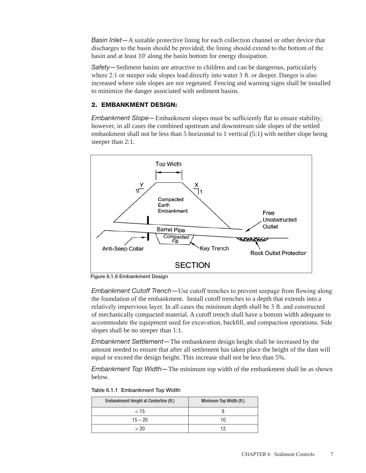*Basin Inlet—*A suitable protective lining for each collection channel or other device that discharges to the basin should be provided; the lining should extend to the bottom of the basin and at least 10' along the basin bottom for energy dissipation.

*Safety—*Sediment basins are attractive to children and can be dangerous, particularly where 2:1 or steeper side slopes lead directly into water 3 ft. or deeper. Danger is also increased where side slopes are not vegetated. Fencing and warning signs shall be installed to minimize the danger associated with sediment basins.

# 2. EMBANKMENT DESIGN:

*Embankment Slope—*Embankment slopes must be sufficiently flat to ensure stability; however, in all cases the combined upstream and downstream side slopes of the settled embankment shall not be less than 5 horizontal to 1 vertical (5:1) with neither slope being steeper than 2:1.



Figure 6.1.6 Embankment Design

*Embankment Cutoff Trench—*Use cutoff trenches to prevent seepage from flowing along the foundation of the embankment. Install cutoff trenches to a depth that extends into a relatively impervious layer. In all cases the minimum depth shall be 3 ft. and constructed of mechanically compacted material. A cutoff trench shall have a bottom width adequate to accommodate the equipment used for excavation, backfill, and compaction operations. Side slopes shall be no steeper than 1:1.

*Embankment Settlement—*The embankment design height shall be increased by the amount needed to ensure that after all settlement has taken place the height of the dam will equal or exceed the design height. This increase shall not be less than 5%.

*Embankment Top Width—*The minimum top width of the embankment shall be as shown below.

| Embankment Height at Centerline (ft.) | Minimum Top Width (ft.) |
|---------------------------------------|-------------------------|
| < 15                                  |                         |
| $15 - 20$                             | 10                      |
| > 20                                  | 19                      |

Table 6.1.1 Embankment Top Width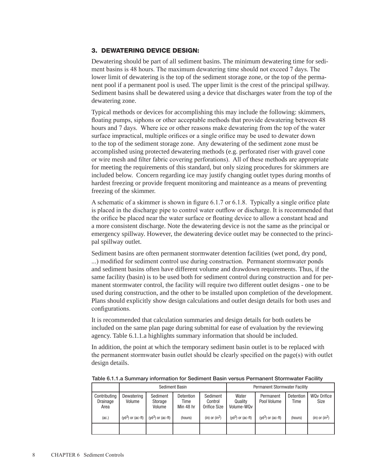# 3. DEWATERING DEVICE DESIGN:

Dewatering should be part of all sediment basins. The minimum dewatering time for sediment basins is 48 hours. The maximum dewatering time should not exceed 7 days. The lower limit of dewatering is the top of the sediment storage zone, or the top of the permanent pool if a permanent pool is used. The upper limit is the crest of the principal spillway. Sediment basins shall be dewatered using a device that discharges water from the top of the dewatering zone.

Typical methods or devices for accomplishing this may include the following: skimmers, floating pumps, siphons or other acceptable methods that provide dewatering between 48 hours and 7 days. Where ice or other reasons make dewatering from the top of the water surface impractical, multiple orifices or a single orifice may be used to dewater down to the top of the sediment storage zone. Any dewatering of the sediment zone must be accomplished using protected dewatering methods (e.g. perforated riser with gravel cone or wire mesh and filter fabric covering perforations). All of these methods are appropriate for meeting the requirements of this standard, but only sizing procedures for skimmers are included below. Concern regarding ice may justify changing outlet types during months of hardest freezing or provide frequent monitoring and mainteance as a means of preventing freezing of the skimmer.

A schematic of a skimmer is shown in figure 6.1.7 or 6.1.8. Typically a single orifice plate is placed in the discharge pipe to control water outflow or discharge. It is recommended that the orifice be placed near the water surface or floating device to allow a constant head and a more consistent discharge. Note the dewatering device is not the same as the principal or emergency spillway. However, the dewatering device outlet may be connected to the principal spillway outlet.

Sediment basins are often permanent stormwater detention facilities (wet pond, dry pond, ...) modified for sediment control use during construction. Permanent stormwater ponds and sediment basins often have different volume and drawdown requirements. Thus, if the same facility (basin) is to be used both for sediment control during construction and for permanent stormwater control, the facility will require two different outlet designs - one to be used during construction, and the other to be installed upon completion of the development. Plans should explicitly show design calculations and outlet design details for both uses and configurations.

It is recommended that calculation summaries and design details for both outlets be included on the same plan page during submittal for ease of evaluation by the reviewing agency. Table 6.1.1.a highlights summary information that should be included.

In addition, the point at which the temporary sediment basin outlet is to be replaced with the permanent stormwater basin outlet should be clearly specified on the page(s) with outlet design details.

|                                  |                        | <b>Sediment Basin</b>                                                  |         |                                     | <b>Permanent Stormwater Facility</b> |                          |         |                            |  |  |
|----------------------------------|------------------------|------------------------------------------------------------------------|---------|-------------------------------------|--------------------------------------|--------------------------|---------|----------------------------|--|--|
| Contributing<br>Drainage<br>Area | Dewatering<br>Volume   | Sediment<br><b>Detention</b><br>Storage<br>Time<br>Volume<br>Min 48 hr |         | Sediment<br>Control<br>Orifice Size | Water<br>Quality<br>Volume-WQv       | Permanent<br>Pool Volume |         | <b>WQv Orifice</b><br>Size |  |  |
| (ac.)                            | $(yd^3)$ or $(ac$ -ft) | ( $\mathsf{v}\mathsf{d}^3$ ) or (ac-ft) $\blacksquare$                 | (hours) | (in) or (in <sup>2</sup> )          | $(yd^3)$ or $(ac$ -ft)               | $(yd^3)$ or $(ac$ -ft)   | (hours) | (in) or $(in^2)$           |  |  |
|                                  |                        |                                                                        |         |                                     |                                      |                          |         |                            |  |  |

Table 6.1.1.a Summary information for Sediment Basin versus Permanent Stormwater Facility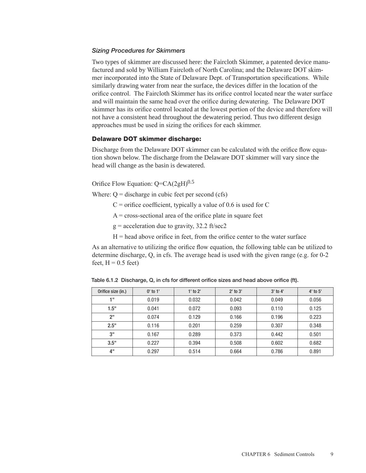#### *Sizing Procedures for Skimmers*

Two types of skimmer are discussed here: the Faircloth Skimmer, a patented device manufactured and sold by William Faircloth of North Carolina; and the Delaware DOT skimmer incorporated into the State of Delaware Dept. of Transportation specifications. While similarly drawing water from near the surface, the devices differ in the location of the orifice control. The Faircloth Skimmer has its orifice control located near the water surface and will maintain the same head over the orifice during dewatering. The Delaware DOT skimmer has its orifice control located at the lowest portion of the device and therefore will not have a consistent head throughout the dewatering period. Thus two different design approaches must be used in sizing the orifices for each skimmer.

#### Delaware DOT skimmer discharge:

Discharge from the Delaware DOT skimmer can be calculated with the orifice flow equation shown below. The discharge from the Delaware DOT skimmer will vary since the head will change as the basin is dewatered.

Orifice Flow Equation:  $Q=CA(2gH)^{0.5}$ 

Where:  $Q =$  discharge in cubic feet per second (cfs)

- $C$  = orifice coefficient, typically a value of 0.6 is used for C
- $A = cross-sectional area of the orifice plate in square feet$
- $g =$  acceleration due to gravity, 32.2 ft/sec2
- $H =$  head above orifice in feet, from the orifice center to the water surface

As an alternative to utilizing the orifice flow equation, the following table can be utilized to determine discharge, Q, in cfs. The average head is used with the given range (e.g. for 0-2 feet,  $H = 0.5$  feet)

Table 6.1.2 Discharge, Q, in cfs for different orifice sizes and head above orifice (ft).

| Orifice size (in.) | $0'$ to $1'$ | $1'$ to $2'$ | $2'$ to $3'$ | $3'$ to $4'$ | $4'$ to $5'$ |
|--------------------|--------------|--------------|--------------|--------------|--------------|
| 1 !!               | 0.019        | 0.032        | 0.042        | 0.049        | 0.056        |
| 1.5"               | 0.041        | 0.072        | 0.093        | 0.110        | 0.125        |
| 2"                 | 0.074        | 0.129        | 0.166        | 0.196        | 0.223        |
| 2.5"               | 0.116        | 0.201        | 0.259        | 0.307        | 0.348        |
| 3"                 | 0.167        | 0.289        | 0.373        | 0.442        | 0.501        |
| 3.5"               | 0.227        | 0.394        | 0.508        | 0.602        | 0.682        |
| 4"                 | 0.297        | 0.514        | 0.664        | 0.786        | 0.891        |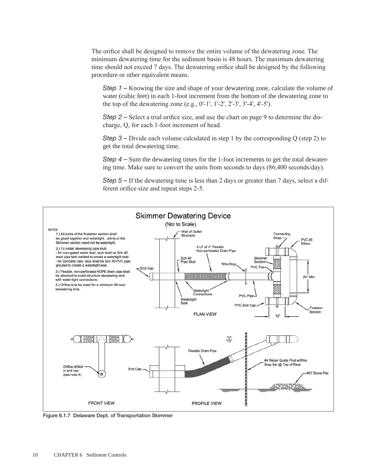The orifice shall be designed to remove the entire volume of the dewatering zone. The minimum dewatering time for the sediment basin is 48 hours. The maximum dewatering time should not exceed 7 days. The dewatering orifice shall be designed by the following procedure or other equivalent means.

*Step 1 –* Knowing the size and shape of your dewatering zone, calculate the volume of water (cubic feet) in each 1-foot increment from the bottom of the dewatering zone to the top of the dewatering zone (e.g., 0'-1', 1'-2', 2'-3', 3'-4', 4'-5').

*Step 2 –* Select a trial orifice size, and use the chart on page 9 to determine the discharge, Q, for each 1-foot increment of head.

*Step 3 –* Divide each volume calculated in step 1 by the corresponding Q (step 2) to get the total dewatering time.

*Step 4 –* Sum the dewatering times for the 1-foot increments to get the total dewatering time. Make sure to convert the units from seconds to days (86,400 seconds/day).

*Step 5 –* If the dewatering time is less than 2 days or greater than 7 days, select a different orifice size and repeat steps 2-5.



Figure 6.1.7 Delaware Dept. of Transportation Skimmer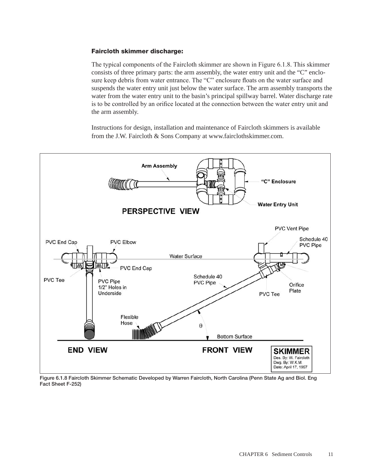# Faircloth skimmer discharge:

The typical components of the Faircloth skimmer are shown in Figure 6.1.8. This skimmer consists of three primary parts: the arm assembly, the water entry unit and the "C" enclosure keep debris from water entrance. The "C" enclosure floats on the water surface and suspends the water entry unit just below the water surface. The arm assembly transports the water from the water entry unit to the basin's principal spillway barrel. Water discharge rate is to be controlled by an orifice located at the connection between the water entry unit and the arm assembly.

Instructions for design, installation and maintenance of Faircloth skimmers is available from the J.W. Faircloth & Sons Company at www.fairclothskimmer.com.



Figure 6.1.8 Faircloth Skimmer Schematic Developed by Warren Faircloth, North Carolina (Penn State Ag and Biol. Eng Fact Sheet F-252)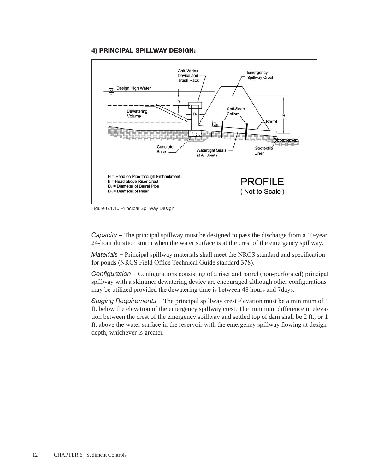#### 4) PRINCIPAL SPILLWAY DESIGN:



Figure 6.1.10 Principal Spillway Design

*Capacity –* The principal spillway must be designed to pass the discharge from a 10-year, 24-hour duration storm when the water surface is at the crest of the emergency spillway.

*Materials –* Principal spillway materials shall meet the NRCS standard and specification for ponds (NRCS Field Office Technical Guide standard 378).

*Configuration –* Configurations consisting of a riser and barrel (non-perforated) principal spillway with a skimmer dewatering device are encouraged although other configurations may be utilized provided the dewatering time is between 48 hours and 7days.

*Staging Requirements –* The principal spillway crest elevation must be a minimum of 1 ft. below the elevation of the emergency spillway crest. The minimum difference in elevation between the crest of the emergency spillway and settled top of dam shall be 2 ft., or 1 ft. above the water surface in the reservoir with the emergency spillway flowing at design depth, whichever is greater.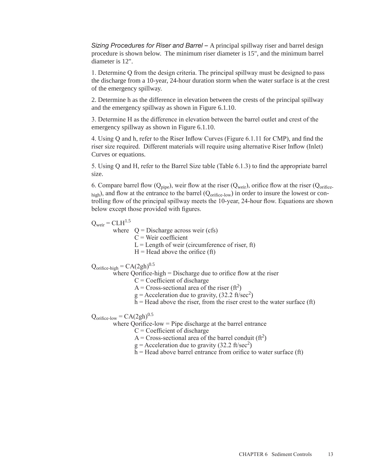*Sizing Procedures for Riser and Barrel –* A principal spillway riser and barrel design procedure is shown below. The minimum riser diameter is 15", and the minimum barrel diameter is 12".

1. Determine Q from the design criteria. The principal spillway must be designed to pass the discharge from a 10-year, 24-hour duration storm when the water surface is at the crest of the emergency spillway.

2. Determine h as the difference in elevation between the crests of the principal spillway and the emergency spillway as shown in Figure 6.1.10.

3. Determine H as the difference in elevation between the barrel outlet and crest of the emergency spillway as shown in Figure 6.1.10.

4. Using Q and h, refer to the Riser Inflow Curves (Figure 6.1.11 for CMP), and find the riser size required. Different materials will require using alternative Riser Inflow (Inlet) Curves or equations.

5. Using Q and H, refer to the Barrel Size table (Table 6.1.3) to find the appropriate barrel size.

6. Compare barrel flow ( $Q_{\text{pipe}}$ ), weir flow at the riser ( $Q_{\text{weir}}$ ), orifice flow at the riser ( $Q_{\text{orifice}}$ high), and flow at the entrance to the barrel (Q<sub>orifice-low</sub>) in order to insure the lowest or controlling flow of the principal spillway meets the 10-year, 24-hour flow. Equations are shown below except those provided with figures.

 $Q_{\text{weir}} = CLH^{1.5}$ 

where  $Q = Discharge$  across weir (cfs)

 $C =$ Weir coefficient

 $L =$ Length of weir (circumference of riser, ft)

 $H =$  Head above the orifice (ft)

 $Q_{\text{orifice-high}} = CA(2gh)^{0.5}$ 

where Oorifice-high  $=$  Discharge due to orifice flow at the riser

 $C = Coefficient of discharge$ 

A = Cross-sectional area of the riser  $(f<sup>2</sup>)$ 

 $g =$ Acceleration due to gravity, (32.2 ft/sec<sup>2</sup>)

 $h$  = Head above the riser, from the riser crest to the water surface (ft)

 $Q_{\text{orifice-low}} = CA(2gh)^{0.5}$ 

where Oorifice-low = Pipe discharge at the barrel entrance

 $C = Coefficient of discharge$ 

A = Cross-sectional area of the barrel conduit  $(f<sup>2</sup>)$ 

 $g =$ Acceleration due to gravity (32.2 ft/sec<sup>2</sup>)

 $h$  = Head above barrel entrance from orifice to water surface (ft)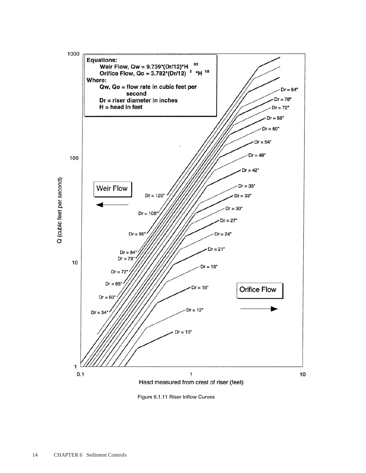

Figure 6.1.11 Riser Inflow Curves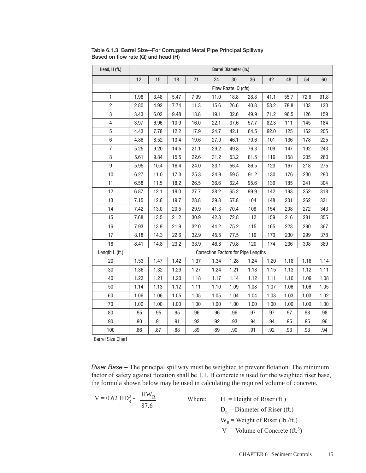| Head, H (ft.)           | Barrel Diameter (in.) |      |      |      |      |                     |                                            |      |      |      |      |  |  |
|-------------------------|-----------------------|------|------|------|------|---------------------|--------------------------------------------|------|------|------|------|--|--|
|                         | 12                    | 15   | 18   | 21   | 24   | 30                  | 36<br>42<br>48<br>54                       |      |      |      |      |  |  |
|                         |                       |      |      |      |      | Flow Raate, Q (cfs) |                                            |      |      |      |      |  |  |
| 1                       | 1.98                  | 3.48 | 5.47 | 7.99 | 11.0 | 18.8                | 28.8                                       | 41.1 | 55.7 | 72.6 | 91.8 |  |  |
| 2                       | 2.80                  | 4.92 | 7.74 | 11.3 | 15.6 | 26.6                | 40.8                                       | 58.2 | 78.8 | 103  | 130  |  |  |
| 3                       | 3.43                  | 6.02 | 9.48 | 13.8 | 19.1 | 32.6                | 49.9                                       | 71.2 | 96.5 | 126  | 159  |  |  |
| $\overline{\mathbf{4}}$ | 3.97                  | 6.96 | 10.9 | 16.0 | 22.1 | 37.6                | 57.7                                       | 82.3 | 111  | 145  | 184  |  |  |
| 5                       | 4.43                  | 7.78 | 12.2 | 17.9 | 24.7 | 42.1                | 64.5                                       | 92.0 | 125  | 162  | 205  |  |  |
| 6                       | 4.86                  | 8.52 | 13.4 | 19.6 | 27.0 | 46.1                | 70.6                                       | 101  | 136  | 178  | 225  |  |  |
| $\overline{7}$          | 5.25                  | 9.20 | 14.5 | 21.1 | 29.2 | 49.8                | 76.3                                       | 109  | 147  | 192  | 243  |  |  |
| 8                       | 5.61                  | 9.84 | 15.5 | 22.6 | 31.2 | 53.2                | 81.5                                       | 116  | 158  | 205  | 260  |  |  |
| 9                       | 5.95                  | 10.4 | 16.4 | 24.0 | 33.1 | 56.4                | 86.5                                       | 123  | 167  | 218  | 275  |  |  |
| 10                      | 6.27                  | 11.0 | 17.3 | 25.3 | 34.9 | 59.5                | 91.2                                       | 130  | 176  | 230  | 290  |  |  |
| 11                      | 6.58                  | 11.5 | 18.2 | 26.5 | 36.6 | 62.4                | 95.6                                       | 136  | 185  | 241  | 304  |  |  |
| 12                      | 6.87                  | 12.1 | 19.0 | 27.7 | 38.2 | 65.2                | 99.9                                       | 142  | 193  | 252  | 318  |  |  |
| 13                      | 7.15                  | 12.6 | 19.7 | 28.8 | 39.8 | 67.8                | 104                                        | 148  | 201  | 262  | 331  |  |  |
| 14                      | 7.42                  | 13.0 | 20.5 | 29.9 | 41.3 | 70.4                | 108                                        | 154  | 208  | 272  | 343  |  |  |
| 15                      | 7.68                  | 13.5 | 21.2 | 30.9 | 42.8 | 72.8                | 112                                        | 159  | 216  | 281  | 355  |  |  |
| 16                      | 7.93                  | 13.9 | 21.9 | 32.0 | 44.2 | 75.2                | 115                                        | 165  | 223  | 290  | 367  |  |  |
| 17                      | 8.18                  | 14.3 | 22.6 | 32.9 | 45.5 | 77.5                | 119                                        | 170  | 230  | 299  | 378  |  |  |
| 18                      | 8.41                  | 14.8 | 23.2 | 33.9 | 46.8 | 79.8                | 120                                        | 174  | 236  | 308  | 389  |  |  |
| Length L (ft.)          |                       |      |      |      |      |                     | <b>Correction Factors for Pipe Lengths</b> |      |      |      |      |  |  |
| 20                      | 1.53                  | 1.47 | 1.42 | 1.37 | 1.34 | 1.28                | 1.24                                       | 1.20 | 1.18 | 1.16 | 1.14 |  |  |
| 30                      | 1.36                  | 1.32 | 1.29 | 1.27 | 1.24 | 1.21                | 1.18                                       | 1.15 | 1.13 | 1.12 | 1.11 |  |  |
| 40                      | 1.23                  | 1.21 | 1.20 | 1.18 | 1.17 | 1.14                | 1.12                                       | 1.11 | 1.10 | 1.09 | 1.08 |  |  |
| 50                      | 1.14                  | 1.13 | 1.12 | 1.11 | 1.10 | 1.09                | 1.08                                       | 1.07 | 1.06 | 1.06 | 1.05 |  |  |
| 60                      | 1.06                  | 1.06 | 1.05 | 1.05 | 1.05 | 1.04                | 1.04                                       | 1.03 | 1.03 | 1.03 | 1.02 |  |  |
| 70                      | 1.00                  | 1.00 | 1.00 | 1.00 | 1.00 | 1.00                | 1.00                                       | 1.00 | 1.00 | 1.00 | 1.00 |  |  |
| 80                      | .95                   | .95  | .95  | .96  | .96  | .96                 | .97                                        | .97  | .97  | .98  | .98  |  |  |
| 90                      | .90                   | .91  | .91  | .92  | .92  | .93                 | .94                                        | .94  | .95  | .95  | .96  |  |  |
| 100                     | .86                   | .87  | .88  | .89  | .89  | .90                 | .91                                        | .92  | .93  | .93  | .94  |  |  |

Table 6.1.3 Barrel Size--For Corrugated Metal Pipe Principal Spillway Based on flow rate (Q) and head (H)

Barrel Size Chart

*Riser Base –* The principal spillway must be weighted to prevent flotation. The minimum factor of safety against flotation shall be 1.1. If concrete is used for the weighted riser base, the formula shown below may be used in calculating the required volume of concrete.

$$
V = 0.62 \text{ HD}_R^2 - \frac{\text{HW}_R}{87.6}
$$

Where:  $H = Height of Riser (ft.)$  $D<sub>R</sub>$  = Diameter of Riser (ft.)  $W_R$  = Weight of Riser (lb./ft.)  $V =$  Volume of Concrete (ft.<sup>3</sup>)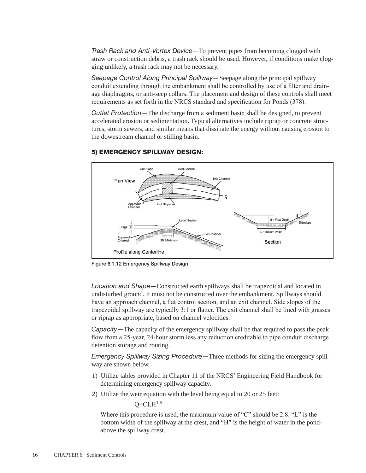*Trash Rack and Anti-Vortex Device—*To prevent pipes from becoming clogged with straw or construction debris, a trash rack should be used. However, if conditions make clogging unlikely, a trash rack may not be necessary.

*Seepage Control Along Principal Spillway—*Seepage along the principal spillway conduit extending through the embankment shall be controlled by use of a filter and drainage diaphragms, or anti-seep collars. The placement and design of these controls shall meet requirements as set forth in the NRCS standard and specification for Ponds (378).

*Outlet Protection—*The discharge from a sediment basin shall be designed, to prevent accelerated erosion or sedimentation. Typical alternatives include riprap or concrete structures, storm sewers, and similar means that dissipate the energy without causing erosion to the downstream channel or stilling basin.



# 5) EMERGENCY SPILLWAY DESIGN:

Figure 6.1.12 Emergency Spillway Design

*Location and Shape—*Constructed earth spillways shall be trapezoidal and located in undisturbed ground. It must not be constructed over the embankment. Spillways should have an approach channel, a flat control section, and an exit channel. Side slopes of the trapezoidal spillway are typically 3:1 or flatter. The exit channel shall be lined with grasses or riprap as appropriate, based on channel velocities.

*Capacity—*The capacity of the emergency spillway shall be that required to pass the peak flow from a 25-year, 24-hour storm less any reduction creditable to pipe conduit discharge detention storage and routing.

*Emergency Spillway Sizing Procedure—*Three methods for sizing the emergency spillway are shown below.

- 1) Utilize tables provided in Chapter 11 of the NRCS' Engineering Field Handbook for determining emergency spillway capacity.
- 2) Utilize the weir equation with the level being equal to 20 or 25 feet:

 $O=CLH^{1.5}$ 

Where this procedure is used, the maximum value of "C" should be 2.8. "L" is the bottom width of the spillway at the crest, and "H" is the height of water in the pondabove the spillway crest.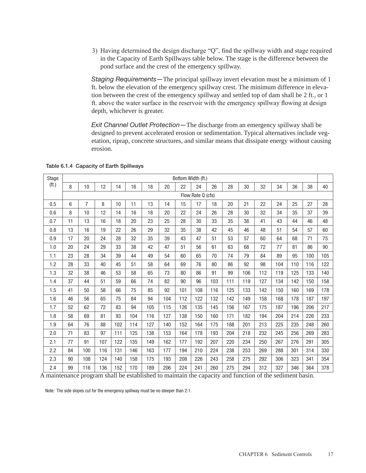3) Having determined the design discharge "Q", find the spillway width and stage required in the Capacity of Earth Spillways table below. The stage is the difference between the pond surface and the crest of the emergency spillway.

*Staging Requirements—*The principal spillway invert elevation must be a minimum of 1 ft. below the elevation of the emergency spillway crest. The minimum difference in elevation between the crest of the emergency spillway and settled top of dam shall be 2 ft., or 1 ft. above the water surface in the reservoir with the emergency spillway flowing at design depth, whichever is greater.

*Exit Channel Outlet Protection—*The discharge from an emergency spillway shall be designed to prevent accelerated erosion or sedimentation. Typical alternatives include vegetation, riprap, concrete structures, and similar means that dissipate energy without causing erosion.

| Stage | Bottom Width (ft.) |                |     |     |     |     |     |     |     |     |     |     |     |     |     |     |     |
|-------|--------------------|----------------|-----|-----|-----|-----|-----|-----|-----|-----|-----|-----|-----|-----|-----|-----|-----|
| (ft.) | 8                  | 10             | 12  | 14  | 16  | 18  | 20  | 22  | 24  | 26  | 28  | 30  | 32  | 34  | 36  | 38  | 40  |
|       | Flow Rate Q (cfs)  |                |     |     |     |     |     |     |     |     |     |     |     |     |     |     |     |
| 0.5   | 6                  | $\overline{7}$ | 8   | 10  | 11  | 13  | 14  | 15  | 17  | 18  | 20  | 21  | 22  | 24  | 25  | 27  | 28  |
| 0.6   | 8                  | 10             | 12  | 14  | 16  | 18  | 20  | 22  | 24  | 26  | 28  | 30  | 32  | 34  | 35  | 37  | 39  |
| 0.7   | 11                 | 13             | 16  | 18  | 20  | 23  | 25  | 28  | 30  | 33  | 35  | 38  | 41  | 43  | 44  | 46  | 48  |
| 0.8   | 13                 | 16             | 19  | 22  | 26  | 29  | 32  | 35  | 38  | 42  | 45  | 46  | 48  | 51  | 54  | 57  | 60  |
| 0.9   | 17                 | 20             | 24  | 28  | 32  | 35  | 39  | 43  | 47  | 51  | 53  | 57  | 60  | 64  | 68  | 71  | 75  |
| 1.0   | 20                 | 24             | 29  | 33  | 38  | 42  | 47  | 51  | 56  | 61  | 63  | 68  | 72  | 77  | 81  | 86  | 90  |
| 1.1   | 23                 | 28             | 34  | 39  | 44  | 49  | 54  | 60  | 65  | 70  | 74  | 79  | 84  | 89  | 95  | 100 | 105 |
| 1.2   | 28                 | 33             | 40  | 45  | 51  | 58  | 64  | 69  | 76  | 80  | 86  | 92  | 98  | 104 | 110 | 116 | 122 |
| 1.3   | 32                 | 38             | 46  | 53  | 58  | 65  | 73  | 80  | 86  | 91  | 99  | 106 | 112 | 119 | 125 | 133 | 140 |
| 1.4   | 37                 | 44             | 51  | 59  | 66  | 74  | 82  | 90  | 96  | 103 | 111 | 119 | 127 | 134 | 142 | 150 | 158 |
| 1.5   | 41                 | 50             | 58  | 66  | 75  | 85  | 92  | 101 | 108 | 116 | 125 | 133 | 142 | 150 | 160 | 169 | 178 |
| 1.6   | 46                 | 56             | 65  | 75  | 84  | 94  | 104 | 112 | 122 | 132 | 142 | 149 | 158 | 168 | 178 | 187 | 197 |
| 1.7   | 52                 | 62             | 72  | 83  | 94  | 105 | 115 | 126 | 135 | 145 | 156 | 167 | 175 | 187 | 196 | 206 | 217 |
| 1.8   | 58                 | 69             | 81  | 93  | 104 | 116 | 127 | 138 | 150 | 160 | 171 | 182 | 194 | 204 | 214 | 226 | 233 |
| 1.9   | 64                 | 76             | 88  | 102 | 114 | 127 | 140 | 152 | 164 | 175 | 188 | 201 | 213 | 225 | 235 | 248 | 260 |
| 2.0   | 71                 | 83             | 97  | 111 | 125 | 138 | 153 | 164 | 178 | 193 | 204 | 218 | 232 | 245 | 256 | 269 | 283 |
| 2.1   | 77                 | 91             | 107 | 122 | 135 | 149 | 162 | 177 | 192 | 207 | 220 | 234 | 250 | 267 | 276 | 291 | 305 |
| 2.2   | 84                 | 100            | 116 | 131 | 146 | 163 | 177 | 194 | 210 | 224 | 238 | 253 | 269 | 288 | 301 | 314 | 330 |
| 2.3   | 90                 | 108            | 124 | 140 | 158 | 175 | 193 | 208 | 226 | 243 | 258 | 275 | 292 | 306 | 323 | 341 | 354 |
| 2.4   | 99                 | 116            | 136 | 152 | 170 | 189 | 206 | 224 | 241 | 260 | 275 | 294 | 312 | 327 | 346 | 364 | 378 |

Table 6.1.4 Capacity of Earth Spillways

A maintenance program shall be established to maintain the capacity and function of the sediment basin.

Note: The side slopes cut for the emergency spillway must be no steeper than 2:1.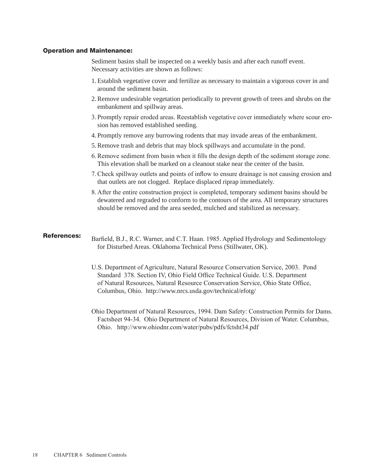#### Operation and Maintenance:

Sediment basins shall be inspected on a weekly basis and after each runoff event. Necessary activities are shown as follows:

- 1. Establish vegetative cover and fertilize as necessary to maintain a vigorous cover in and around the sediment basin.
- 2.Remove undesirable vegetation periodically to prevent growth of trees and shrubs on the embankment and spillway areas.
- 3. Promptly repair eroded areas. Reestablish vegetative cover immediately where scour erosion has removed established seeding.
- 4. Promptly remove any burrowing rodents that may invade areas of the embankment.
- 5.Remove trash and debris that may block spillways and accumulate in the pond.
- 6.Remove sediment from basin when it fills the design depth of the sediment storage zone. This elevation shall be marked on a cleanout stake near the center of the basin.
- 7.Check spillway outlets and points of inflow to ensure drainage is not causing erosion and that outlets are not clogged. Replace displaced riprap immediately.
- 8. After the entire construction project is completed, temporary sediment basins should be dewatered and regraded to conform to the contours of the area. All temporary structures should be removed and the area seeded, mulched and stabilized as necessary.

#### References:

Barfield, B.J., R.C. Warner, and C.T. Haan. 1985. Applied Hydrology and Sedimentology for Disturbed Areas. Oklahoma Technical Press (Stillwater, OK).

- U.S. Department of Agriculture, Natural Resource Conservation Service, 2003. Pond Standard 378. Section IV, Ohio Field Office Technical Guide. U.S. Department of Natural Resources, Natural Resource Conservation Service, Ohio State Office, Columbus, Ohio. http://www.nrcs.usda.gov/technical/efotg/
- Ohio Department of Natural Resources, 1994. Dam Safety: Construction Permits for Dams. Factsheet 94-34. Ohio Department of Natural Resources, Division of Water. Columbus, Ohio. http://www.ohiodnr.com/water/pubs/pdfs/fctsht34.pdf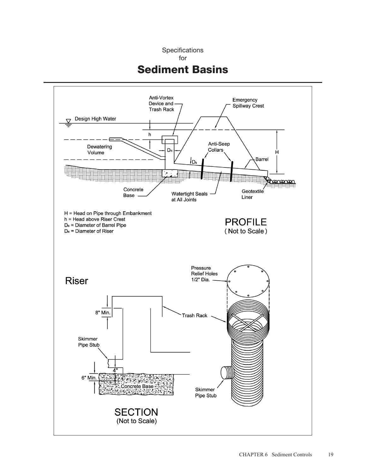Specifications

for

# Sediment Basins